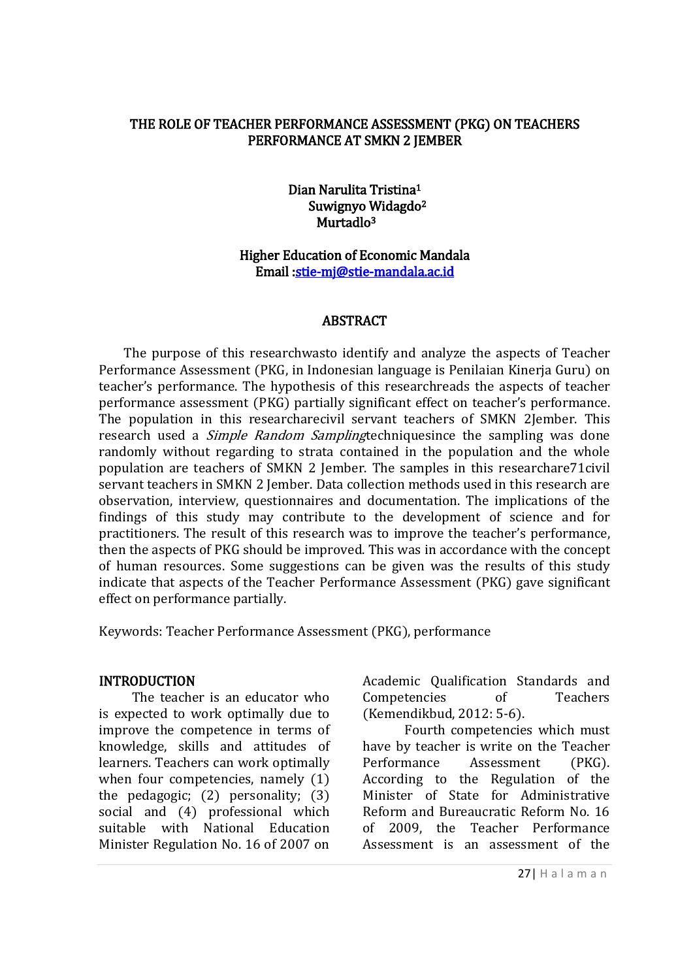#### THE ROLE OF TEACHER PERFORMANCE ASSESSMENT (PKG) ON TEACHERS PERFORMANCE AT SMKN 2 JEMBER

Dian Narulita Tristina<sup>1</sup> Suwignyo Widagdo<sup>2</sup> Murtadlo<sup>3</sup>

#### Higher Education of Economic Mandala Email [:stie-mj@stie-mandala.ac.id](mailto:stie-mj@stie-mandala.ac.id)

#### **ABSTRACT**

The purpose of this researchwasto identify and analyze the aspects of Teacher Performance Assessment (PKG, in Indonesian language is Penilaian Kinerja Guru) on teacher's performance. The hypothesis of this researchreads the aspects of teacher performance assessment (PKG) partially significant effect on teacher's performance. The population in this researcharecivil servant teachers of SMKN 2Jember. This research used a *Simple Random Sampling*techniquesince the sampling was done randomly without regarding to strata contained in the population and the whole population are teachers of SMKN 2 Jember. The samples in this researchare71civil servant teachers in SMKN 2 Jember. Data collection methods used in this research are observation, interview, questionnaires and documentation. The implications of the findings of this study may contribute to the development of science and for practitioners. The result of this research was to improve the teacher's performance, then the aspects of PKG should be improved. This was in accordance with the concept of human resources. Some suggestions can be given was the results of this study indicate that aspects of the Teacher Performance Assessment (PKG) gave significant effect on performance partially.

Keywords: Teacher Performance Assessment (PKG), performance

#### **INTRODUCTION**

The teacher is an educator who is expected to work optimally due to improve the competence in terms of knowledge, skills and attitudes of learners. Teachers can work optimally when four competencies, namely (1) the pedagogic; (2) personality; (3) social and (4) professional which suitable with National Education Minister Regulation No. 16 of 2007 on Academic Qualification Standards and Competencies of Teachers (Kemendikbud, 2012: 5-6).

Fourth competencies which must have by teacher is write on the Teacher Performance Assessment (PKG). According to the Regulation of the Minister of State for Administrative Reform and Bureaucratic Reform No. 16 of 2009, the Teacher Performance Assessment is an assessment of the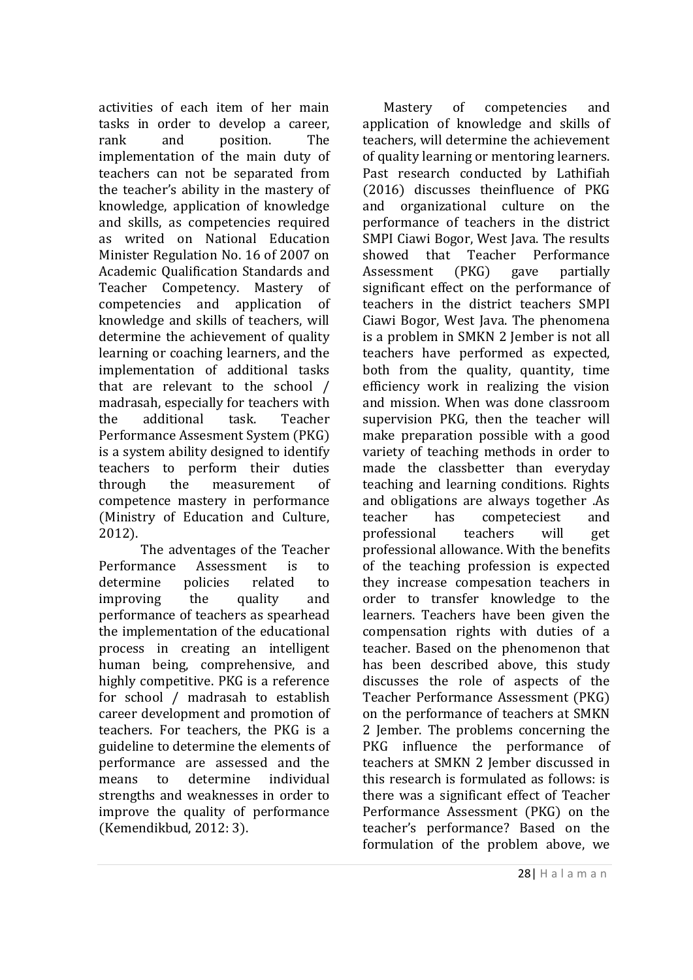activities of each item of her main tasks in order to develop a career, rank and position. The implementation of the main duty of teachers can not be separated from the teacher's ability in the mastery of knowledge, application of knowledge and skills, as competencies required as writed on National Education Minister Regulation No. 16 of 2007 on Academic Qualification Standards and Teacher Competency. Mastery of competencies and application of knowledge and skills of teachers, will determine the achievement of quality learning or coaching learners, and the implementation of additional tasks that are relevant to the school / madrasah, especially for teachers with the additional task. Teacher Performance Assesment System (PKG) is a system ability designed to identify teachers to perform their duties through the measurement of competence mastery in performance (Ministry of Education and Culture, 2012).

The adventages of the Teacher Performance Assessment is to determine policies related to improving the quality and performance of teachers as spearhead the implementation of the educational process in creating an intelligent human being, comprehensive, and highly competitive. PKG is a reference for school / madrasah to establish career development and promotion of teachers. For teachers, the PKG is a guideline to determine the elements of performance are assessed and the means to determine individual strengths and weaknesses in order to improve the quality of performance (Kemendikbud, 2012: 3).

Mastery of competencies and application of knowledge and skills of teachers, will determine the achievement of quality learning or mentoring learners. Past research conducted by Lathifiah (2016) discusses theinfluence of PKG and organizational culture on the performance of teachers in the district SMPI Ciawi Bogor, West Java. The results showed that Teacher Performance Assessment (PKG) gave partially significant effect on the performance of teachers in the district teachers SMPI Ciawi Bogor, West Java. The phenomena is a problem in SMKN 2 Jember is not all teachers have performed as expected, both from the quality, quantity, time efficiency work in realizing the vision and mission. When was done classroom supervision PKG, then the teacher will make preparation possible with a good variety of teaching methods in order to made the classbetter than everyday teaching and learning conditions. Rights and obligations are always together .As teacher has competeciest and professional teachers will get professional allowance. With the benefits of the teaching profession is expected they increase compesation teachers in order to transfer knowledge to the learners. Teachers have been given the compensation rights with duties of a teacher. Based on the phenomenon that has been described above, this study discusses the role of aspects of the Teacher Performance Assessment (PKG) on the performance of teachers at SMKN 2 Jember. The problems concerning the PKG influence the performance of teachers at SMKN 2 Jember discussed in this research is formulated as follows: is there was a significant effect of Teacher Performance Assessment (PKG) on the teacher's performance? Based on the formulation of the problem above, we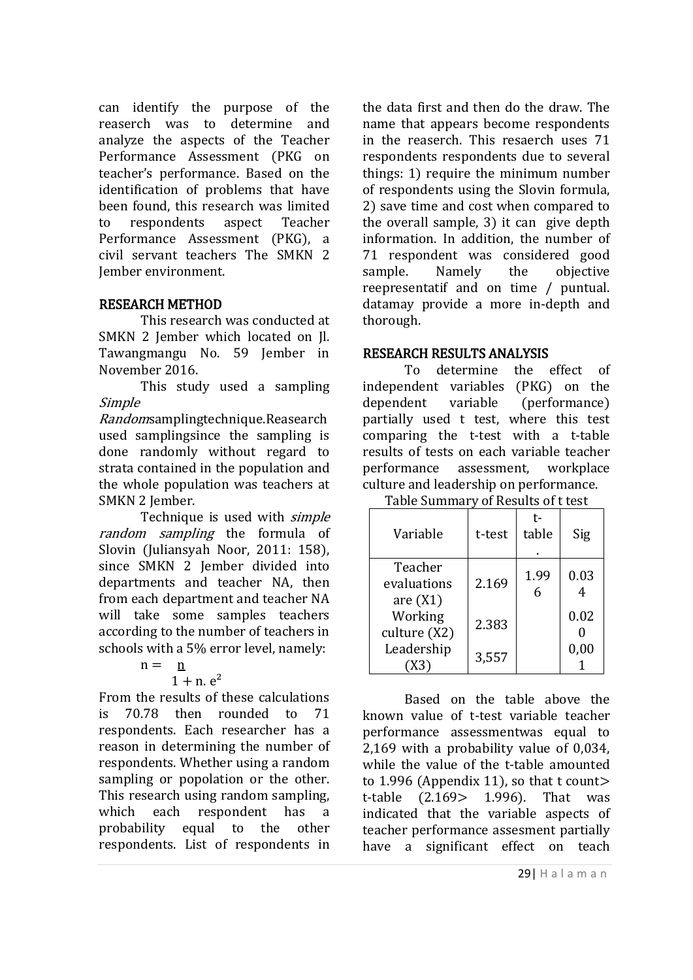can identify the purpose of the reaserch was to determine and analyze the aspects of the Teacher Performance Assessment (PKG on teacher's performance. Based on the identification of problems that have been found, this research was limited to respondents aspect Teacher Performance Assessment (PKG), a civil servant teachers The SMKN 2 Jember environment.

# RESEARCH METHOD

This research was conducted at SMKN 2 Jember which located on Jl. Tawangmangu No. 59 Jember in November 2016.

This study used a sampling Simple

Randomsamplingtechnique.Reasearch used samplingsince the sampling is done randomly without regard to strata contained in the population and the whole population was teachers at SMKN 2 Jember.

Technique is used with simple random sampling the formula of Slovin (Juliansyah Noor, 2011: 158), since SMKN 2 Jember divided into departments and teacher NA, then from each department and teacher NA will take some samples teachers according to the number of teachers in schools with a 5% error level, namely:

$$
n = \underline{n}
$$

 $1 + n$ .  $e^2$ 

From the results of these calculations is 70.78 then rounded to 71 respondents. Each researcher has a reason in determining the number of respondents. Whether using a random sampling or popolation or the other. This research using random sampling, which each respondent has a probability equal to the other respondents. List of respondents in the data first and then do the draw. The name that appears become respondents in the reaserch. This resaerch uses 71 respondents respondents due to several things: 1) require the minimum number of respondents using the Slovin formula, 2) save time and cost when compared to the overall sample, 3) it can give depth information. In addition, the number of 71 respondent was considered good sample. Namely the objective reepresentatif and on time / puntual. datamay provide a more in-depth and thorough.

# RESEARCH RESULTS ANALYSIS

To determine the effect of independent variables (PKG) on the dependent variable (performance) partially used t test, where this test comparing the t-test with a t-table results of tests on each variable teacher performance assessment, workplace culture and leadership on performance.

Table Summary of Results of t test

| Variable                             | t-test | t-<br>table | Sig  |
|--------------------------------------|--------|-------------|------|
| Teacher<br>evaluations<br>are $(X1)$ | 2.169  | 1.99        | 0.03 |
| Working<br>culture (X2)              | 2.383  |             | 0.02 |
| Leadership                           | 3,557  |             | 0,00 |

Based on the table above the known value of t-test variable teacher performance assessmentwas equal to 2,169 with a probability value of 0,034, while the value of the t-table amounted to 1.996 (Appendix 11), so that t count> t-table (2.169> 1.996). That was indicated that the variable aspects of teacher performance assesment partially have a significant effect on teach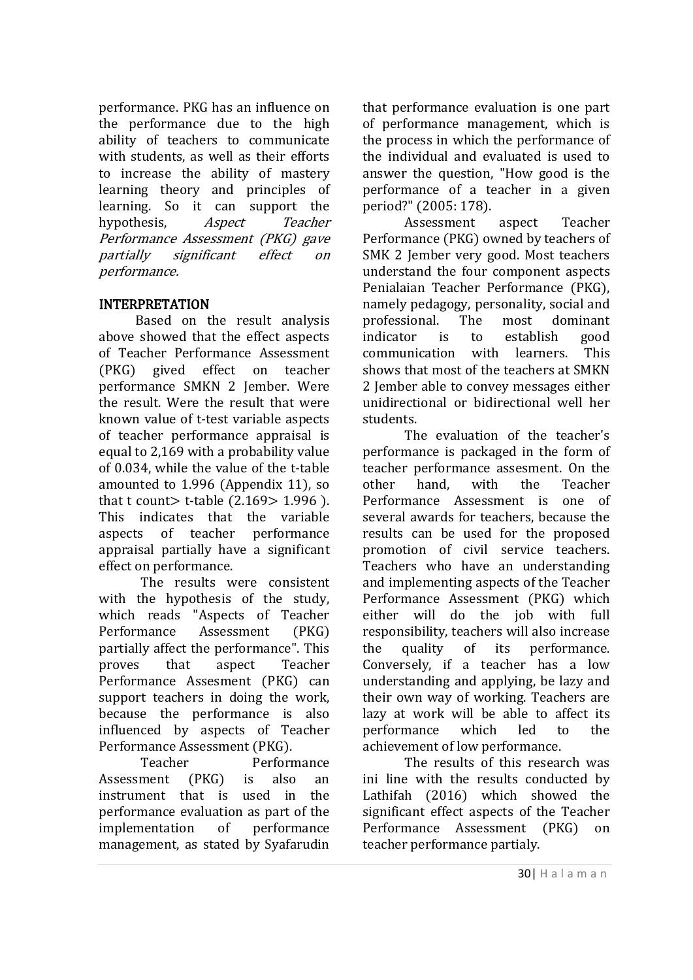performance. PKG has an influence on the performance due to the high ability of teachers to communicate with students, as well as their efforts to increase the ability of mastery learning theory and principles of learning. So it can support the hypothesis, *Aspect* Teacher Performance Assessment (PKG) gave partially significant effect on performance.

# INTERPRETATION

Based on the result analysis above showed that the effect aspects of Teacher Performance Assessment (PKG) gived effect on teacher performance SMKN 2 Jember. Were the result. Were the result that were known value of t-test variable aspects of teacher performance appraisal is equal to 2,169 with a probability value of 0.034, while the value of the t-table amounted to 1.996 (Appendix 11), so that t count  $>$  t-table (2.169 $>$  1.996). This indicates that the variable aspects of teacher performance appraisal partially have a significant effect on performance.

The results were consistent with the hypothesis of the study, which reads "Aspects of Teacher Performance Assessment (PKG) partially affect the performance". This proves that aspect Teacher Performance Assesment (PKG) can support teachers in doing the work, because the performance is also influenced by aspects of Teacher Performance Assessment (PKG).

Teacher Performance Assessment (PKG) is also an instrument that is used in the performance evaluation as part of the implementation of performance management, as stated by Syafarudin that performance evaluation is one part of performance management, which is the process in which the performance of the individual and evaluated is used to answer the question, "How good is the performance of a teacher in a given period?" (2005: 178).

Assessment aspect Teacher Performance (PKG) owned by teachers of SMK 2 Jember very good. Most teachers understand the four component aspects Penialaian Teacher Performance (PKG), namely pedagogy, personality, social and professional. The most dominant indicator is to establish good communication with learners. This shows that most of the teachers at SMKN 2 Jember able to convey messages either unidirectional or bidirectional well her students.

The evaluation of the teacher's performance is packaged in the form of teacher performance assesment. On the other hand, with the Teacher Performance Assessment is one of several awards for teachers, because the results can be used for the proposed promotion of civil service teachers. Teachers who have an understanding and implementing aspects of the Teacher Performance Assessment (PKG) which either will do the job with full responsibility, teachers will also increase the quality of its performance. Conversely, if a teacher has a low understanding and applying, be lazy and their own way of working. Teachers are lazy at work will be able to affect its performance which led to the achievement of low performance.

The results of this research was ini line with the results conducted by Lathifah (2016) which showed the significant effect aspects of the Teacher Performance Assessment (PKG) on teacher performance partialy.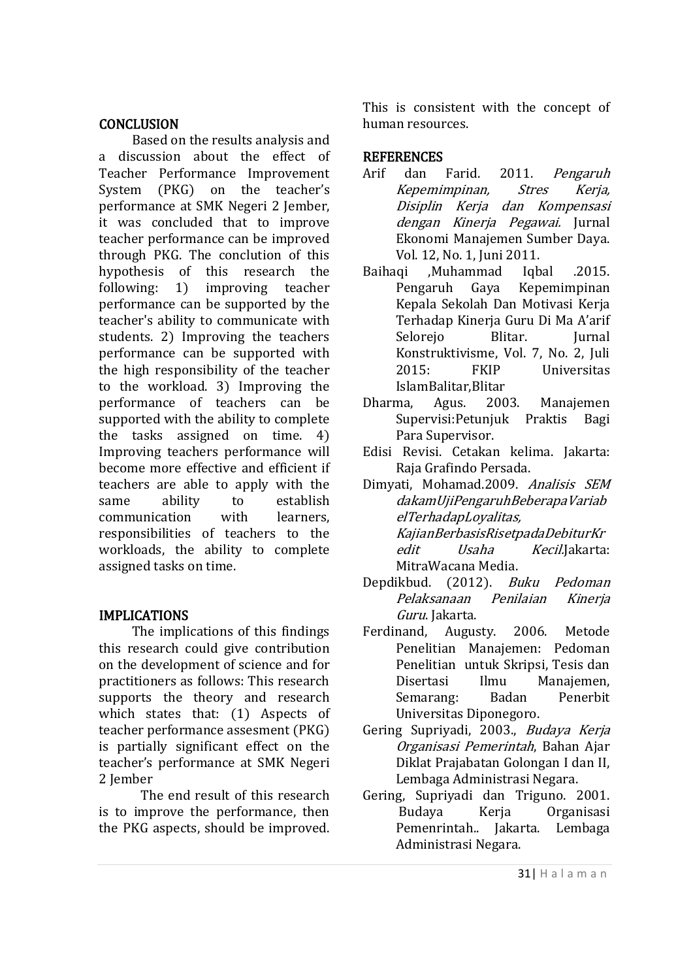## **CONCLUSION**

Based on the results analysis and a discussion about the effect of Teacher Performance Improvement System (PKG) on the teacher's performance at SMK Negeri 2 Jember, it was concluded that to improve teacher performance can be improved through PKG. The conclution of this hypothesis of this research the following: 1) improving teacher performance can be supported by the teacher's ability to communicate with students. 2) Improving the teachers performance can be supported with the high responsibility of the teacher to the workload. 3) Improving the performance of teachers can be supported with the ability to complete the tasks assigned on time. 4) Improving teachers performance will become more effective and efficient if teachers are able to apply with the same ability to establish communication with learners, responsibilities of teachers to the workloads, the ability to complete assigned tasks on time.

# IMPLICATIONS

The implications of this findings this research could give contribution on the development of science and for practitioners as follows: This research supports the theory and research which states that: (1) Aspects of teacher performance assesment (PKG) is partially significant effect on the teacher's performance at SMK Negeri 2 Jember

The end result of this research is to improve the performance, then the PKG aspects, should be improved.

This is consistent with the concept of human resources.

### **REFERENCES**

- Arif dan Farid. 2011. Pengaruh Kepemimpinan, Stres Kerja, Disiplin Kerja dan Kompensasi dengan Kinerja Pegawai. Jurnal Ekonomi Manajemen Sumber Daya. Vol. 12, No. 1, Juni 2011.
- Baihaqi ,Muhammad Iqbal .2015. Pengaruh Gaya Kepemimpinan Kepala Sekolah Dan Motivasi Kerja Terhadap Kinerja Guru Di Ma A'arif Selorejo Blitar. Jurnal Konstruktivisme, Vol. 7, No. 2, Juli 2015: FKIP Universitas IslamBalitar,Blitar
- Dharma, Agus. 2003. Manajemen Supervisi:Petunjuk Praktis Bagi Para Supervisor.
- Edisi Revisi. Cetakan kelima. Jakarta: Raja Grafindo Persada.
- Dimyati, Mohamad.2009. Analisis SEM dakamUjiPengaruhBeberapaVariab elTerhadapLoyalitas, KajianBerbasisRisetpadaDebiturKr edit *Usaha Kecil*.Jakarta: MitraWacana Media.
- Depdikbud. (2012). Buku Pedoman Pelaksanaan Penilaian Kinerja Guru. Jakarta.
- Ferdinand, Augusty. 2006. Metode Penelitian Manajemen: Pedoman Penelitian untuk Skripsi, Tesis dan Disertasi Ilmu Manajemen, Semarang: Badan Penerbit Universitas Diponegoro.
- Gering Supriyadi, 2003., Budaya Kerja Organisasi Pemerintah, Bahan Ajar Diklat Prajabatan Golongan I dan II, Lembaga Administrasi Negara.
- Gering, Supriyadi dan Triguno. 2001. Budaya Kerja Organisasi Pemenrintah.. Jakarta. Lembaga Administrasi Negara.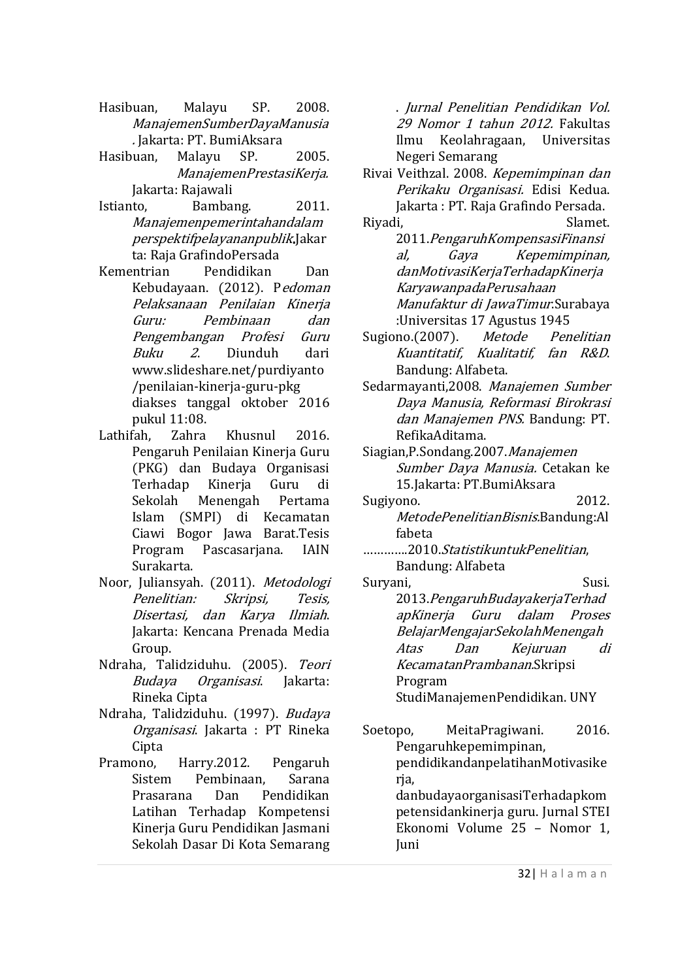- Hasibuan, Malayu SP. 2008. ManajemenSumberDayaManusia . Jakarta: PT. BumiAksara
- Hasibuan, Malayu SP. 2005. ManajemenPrestasiKerja. Jakarta: Rajawali
- Istianto, Bambang. 2011. Manajemenpemerintahandalam perspektifpelayananpublik.Jakar ta: Raja GrafindoPersada
- Kementrian Pendidikan Dan Kebudayaan. (2012). Pedoman Pelaksanaan Penilaian Kinerja Guru: Pembinaan dan Pengembangan Profesi Guru Buku 2. Diunduh dari www.slideshare.net/purdiyanto /penilaian-kinerja-guru-pkg diakses tanggal oktober 2016 pukul 11:08.
- Lathifah, Zahra Khusnul 2016. Pengaruh Penilaian Kinerja Guru (PKG) dan Budaya Organisasi Terhadap Kinerja Guru di Sekolah Menengah Pertama Islam (SMPI) di Kecamatan Ciawi Bogor Jawa Barat.Tesis Program Pascasarjana. IAIN Surakarta.
- Noor, Juliansyah. (2011). Metodologi Penelitian: Skripsi, Tesis, Disertasi, dan Karya Ilmiah. Jakarta: Kencana Prenada Media Group.
- Ndraha, Talidziduhu. (2005). Teori Budaya Organisasi. Jakarta: Rineka Cipta
- Ndraha, Talidziduhu. (1997). Budaya Organisasi. Jakarta : PT Rineka Cipta
- Pramono, Harry.2012. Pengaruh Sistem Pembinaan, Sarana Prasarana Dan Pendidikan Latihan Terhadap Kompetensi Kinerja Guru Pendidikan Jasmani Sekolah Dasar Di Kota Semarang

. Jurnal Penelitian Pendidikan Vol. 29 Nomor 1 tahun 2012. Fakultas Ilmu Keolahragaan, Universitas Negeri Semarang

- Rivai Veithzal. 2008. Kepemimpinan dan Perikaku Organisasi. Edisi Kedua. Jakarta : PT. Raja Grafindo Persada. Riyadi, Slamet.
- 2011.PengaruhKompensasiFinansi al, Gaya Kepemimpinan, danMotivasiKerjaTerhadapKinerja KaryawanpadaPerusahaan Manufaktur di JawaTimur.Surabaya :Universitas 17 Agustus 1945
- Sugiono.(2007). Metode Penelitian Kuantitatif, Kualitatif, fan R&D. Bandung: Alfabeta.
- Sedarmayanti,2008. Manajemen Sumber Daya Manusia, Reformasi Birokrasi dan Manajemen PNS. Bandung: PT. RefikaAditama.
- Siagian,P.Sondang.2007.Manajemen Sumber Daya Manusia. Cetakan ke 15.Jakarta: PT.BumiAksara
- Sugiyono. 2012. MetodePenelitianBisnis.Bandung:Al fabeta
- ………….2010.StatistikuntukPenelitian, Bandung: Alfabeta
- Suryani, Susi. 2013.PengaruhBudayakerjaTerhad apKinerja Guru dalam Proses BelajarMengajarSekolahMenengah Atas Dan Kejuruan di KecamatanPrambanan.Skripsi Program StudiManajemenPendidikan. UNY
- Soetopo, MeitaPragiwani. 2016. Pengaruhkepemimpinan, pendidikandanpelatihanMotivasike rja, danbudayaorganisasiTerhadapkom petensidankinerja guru. Jurnal STEI Ekonomi Volume 25 – Nomor 1, Juni